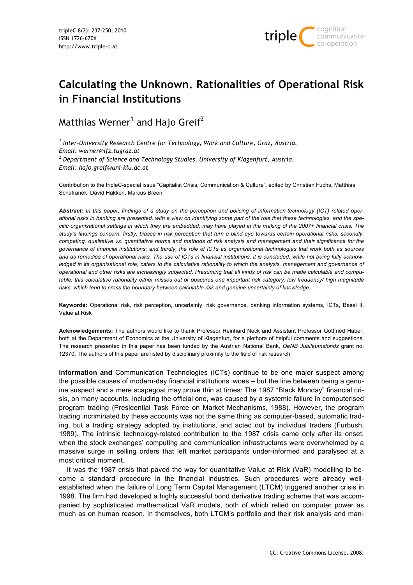

# **Calculating the Unknown. Rationalities of Operational Risk in Financial Institutions**

Matthias Werner $^{\rm 1}$  and Hajo Greif $^{\rm 2}$ 

*1 Inter-University Research Centre for Technology, Work and Culture, Graz, Austria. Email: werner@ifz.tugraz.at 2 Department of Science and Technology Studies, University of Klagenfurt, Austria. Email: hajo.greif@uni-klu.ac.at*

Contribution to the tripleC-special issue "Capitalist Crisis, Communication & Culture", edited by Christian Fuchs, Matthias Schafranek, David Hakken, Marcus Breen

*Abstract: In this paper, findings of a study on the perception and policing of information-technology (ICT) related operational risks in banking are presented, with a view on identifying some part of the role that these technologies, and the specific organisational settings in which they are embedded, may have played in the making of the 2007+ financial crisis. The study's findings concern, firstly, biases in risk perception that turn a blind eye towards certain operational risks; secondly, competing, qualitative vs. quantitative norms and methods of risk analysis and management and their significance for the governance of financial institutions; and thirdly, the role of ICTs as organisational technologies that work both as sources and as remedies of operational risks. The use of ICTs in financial institutions, it is concluded, while not being fully acknowledged in its organisational role, caters to the calculative rationality to which the analysis, management and governance of operational and other risks are increasingly subjected. Presuming that all kinds of risk can be made calculable and computable, this calculative rationality either misses out or obscures one important risk category: low frequency/ high magnitude risks, which tend to cross the boundary between calculable risk and genuine uncertainty of knowledge.*

**Keywords:** Operational risk, risk perception, uncertainty, risk governance, banking information systems, ICTs, Basel II, Value at Risk

**Acknowledgements:** The authors would like to thank Professor Reinhard Neck and Assistant Professor Gottfried Haber, both at the Department of Economics at the University of Klagenfurt, for a plethora of helpful comments and suggestions. The research presented in this paper has been funded by the Austrian National Bank, *OeNB Jubiläumsfonds* grant no. 12370. The authors of this paper are listed by disciplinary proximity to the field of risk research.

**Information and** Communication Technologies (ICTs) continue to be one major suspect among the possible causes of modern-day financial institutions' woes – but the line between being a genuine suspect and a mere scapegoat may prove thin at times: The 1987 "Black Monday" financial crisis, on many accounts, including the official one, was caused by a systemic failure in computerised program trading (Presidential Task Force on Market Mechanisms, 1988). However, the program trading incriminated by these accounts was not the same thing as computer-based, automatic trading, but a trading strategy adopted by institutions, and acted out by individual traders (Furbush, 1989). The intrinsic technology-related contribution to the 1987 crisis came only after its onset, when the stock exchanges' computing and communication infrastructures were overwhelmed by a massive surge in selling orders that left market participants under-informed and paralysed at a most critical moment.

It was the 1987 crisis that paved the way for quantitative Value at Risk (VaR) modelling to become a standard procedure in the financial industries. Such procedures were already wellestablished when the failure of Long Term Capital Management (LTCM) triggered another crisis in 1998. The firm had developed a highly successful bond derivative trading scheme that was accompanied by sophisticated mathematical VaR models, both of which relied on computer power as much as on human reason. In themselves, both LTCM's portfolio and their risk analysis and man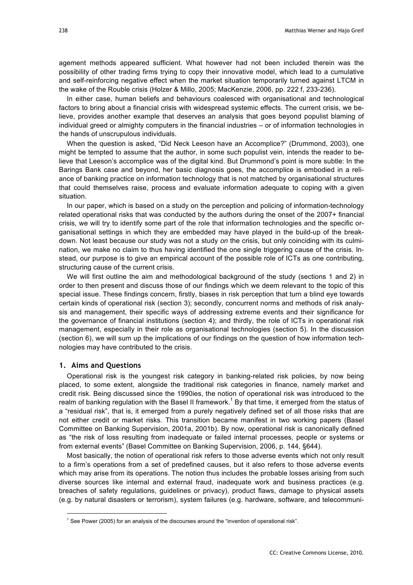agement methods appeared sufficient. What however had not been included therein was the possibility of other trading firms trying to copy their innovative model, which lead to a cumulative and self-reinforcing negative effect when the market situation temporarily turned against LTCM in the wake of the Rouble crisis (Holzer & Millo, 2005; MacKenzie, 2006, pp. 222 f, 233-236).

In either case, human beliefs and behaviours coalesced with organisational and technological factors to bring about a financial crisis with widespread systemic effects. The current crisis, we believe, provides another example that deserves an analysis that goes beyond populist blaming of individual greed or almighty computers in the financial industries – or of information technologies in the hands of unscrupulous individuals.

When the question is asked, "Did Neck Leeson have an Accomplice?" (Drummond, 2003), one might be tempted to assume that the author, in some such populist vein, intends the reader to believe that Leeson's accomplice was of the digital kind. But Drummond's point is more subtle: In the Barings Bank case and beyond, her basic diagnosis goes, the accomplice is embodied in a reliance of banking practice on information technology that is not matched by organisational structures that could themselves raise, process and evaluate information adequate to coping with a given situation.

In our paper, which is based on a study on the perception and policing of information-technology related operational risks that was conducted by the authors during the onset of the 2007+ financial crisis, we will try to identify some part of the role that information technologies and the specific organisational settings in which they are embedded may have played in the build-up of the breakdown. Not least because our study was not a study *on* the crisis, but only coinciding with its culmination, we make no claim to thus having identified the one single triggering cause of the crisis. Instead, our purpose is to give an empirical account of the possible role of ICTs as one contributing, structuring cause of the current crisis.

We will first outline the aim and methodological background of the study (sections 1 and 2) in order to then present and discuss those of our findings which we deem relevant to the topic of this special issue. These findings concern, firstly, biases in risk perception that turn a blind eye towards certain kinds of operational risk (section 3); secondly, concurrent norms and methods of risk analysis and management, their specific ways of addressing extreme events and their significance for the governance of financial institutions (section 4); and thirdly, the role of ICTs in operational risk management, especially in their role as organisational technologies (section 5). In the discussion (section 6), we will sum up the implications of our findings on the question of how information technologies may have contributed to the crisis.

### **1. Aims and Questions**

Operational risk is the youngest risk category in banking-related risk policies, by now being placed, to some extent, alongside the traditional risk categories in finance, namely market and credit risk. Being discussed since the 1990ies, the notion of operational risk was introduced to the realm of banking regulation with the Basel II framework.<sup>1</sup> By that time, it emerged from the status of a "residual risk", that is, it emerged from a purely negatively defined set of all those risks that are not either credit or market risks. This transition became manifest in two working papers (Basel Committee on Banking Supervision, 2001a, 2001b). By now, operational risk is canonically defined as "the risk of loss resulting from inadequate or failed internal processes, people or systems or from external events" (Basel Committee on Banking Supervision, 2006, p. 144, §644).

Most basically, the notion of operational risk refers to those adverse events which not only result to a firm's operations from a set of predefined causes, but it also refers to those adverse events which may arise from its operations. The notion thus includes the probable losses arising from such diverse sources like internal and external fraud, inadequate work and business practices (e.g. breaches of safety regulations, guidelines or privacy), product flaws, damage to physical assets (e.g. by natural disasters or terrorism), system failures (e.g. hardware, software, and telecommuni-

 $\frac{1}{1}$  $<sup>1</sup>$  See Power (2005) for an analysis of the discourses around the "invention of operational risk".</sup>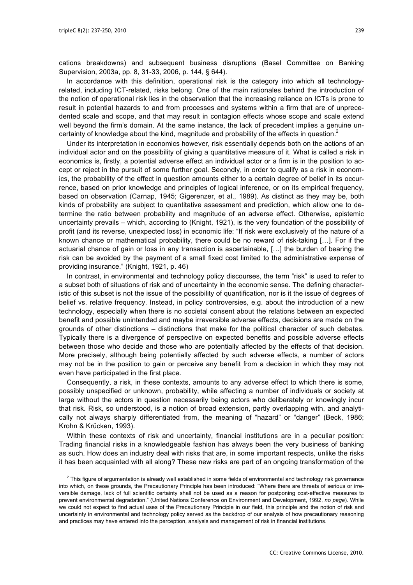cations breakdowns) and subsequent business disruptions (Basel Committee on Banking Supervision, 2003a, pp. 8, 31-33, 2006, p. 144, § 644).

In accordance with this definition, operational risk is the category into which all technologyrelated, including ICT-related, risks belong. One of the main rationales behind the introduction of the notion of operational risk lies in the observation that the increasing reliance on ICTs is prone to result in potential hazards to and from processes and systems within a firm that are of unprecedented scale and scope, and that may result in contagion effects whose scope and scale extend well beyond the firm's domain. At the same instance, the lack of precedent implies a genuine uncertainty of knowledge about the kind, magnitude and probability of the effects in question.<sup>2</sup>

Under its interpretation in economics however, risk essentially depends both on the actions of an individual actor and on the possibility of giving a quantitative measure of it. What is called a risk in economics is, firstly, a potential adverse effect an individual actor or a firm is in the position to accept or reject in the pursuit of some further goal. Secondly, in order to qualify as a risk in economics, the probability of the effect in question amounts either to a certain degree of belief in its occurrence, based on prior knowledge and principles of logical inference, or on its empirical frequency, based on observation (Carnap, 1945; Gigerenzer, et al., 1989). As distinct as they may be, both kinds of probability are subject to quantitative assessment and prediction, which allow one to determine the ratio between probability and magnitude of an adverse effect. Otherwise, epistemic uncertainty prevails – which, according to (Knight, 1921), is the very foundation of the possibility of profit (and its reverse, unexpected loss) in economic life: "If risk were exclusively of the nature of a known chance or mathematical probability, there could be no reward of risk-taking […]. For if the actuarial chance of gain or loss in any transaction is ascertainable, […] the burden of bearing the risk can be avoided by the payment of a small fixed cost limited to the administrative expense of providing insurance." (Knight, 1921, p. 46)

In contrast, in environmental and technology policy discourses, the term "risk" is used to refer to a subset both of situations of risk and of uncertainty in the economic sense. The defining characteristic of this subset is not the issue of the possibility of quantification, nor is it the issue of degrees of belief vs. relative frequency. Instead, in policy controversies, e.g. about the introduction of a new technology, especially when there is no societal consent about the relations between an expected benefit and possible unintended and maybe irreversible adverse effects, decisions are made on the grounds of other distinctions – distinctions that make for the political character of such debates. Typically there is a divergence of perspective on expected benefits and possible adverse effects between those who decide and those who are potentially affected by the effects of that decision. More precisely, although being potentially affected by such adverse effects, a number of actors may not be in the position to gain or perceive any benefit from a decision in which they may not even have participated in the first place.

Consequently, a risk, in these contexts, amounts to any adverse effect to which there is some, possibly unspecified or unknown, probability, while affecting a number of individuals or society at large without the actors in question necessarily being actors who deliberately or knowingly incur that risk. Risk, so understood, is a notion of broad extension, partly overlapping with, and analytically not always sharply differentiated from, the meaning of "hazard" or "danger" (Beck, 1986; Krohn & Krücken, 1993).

Within these contexts of risk and uncertainty, financial institutions are in a peculiar position: Trading financial risks in a knowledgeable fashion has always been the very business of banking as such. How does an industry deal with risks that are, in some important respects, unlike the risks it has been acquainted with all along? These new risks are part of an ongoing transformation of the

 $\overline{2}$  $2$  This figure of argumentation is already well established in some fields of environmental and technology risk governance into which, on these grounds, the Precautionary Principle has been introduced: "Where there are threats of serious or irreversible damage, lack of full scientific certainty shall not be used as a reason for postponing cost-effective measures to prevent environmental degradation." (United Nations Conference on Environment and Development, 1992, *no page*). While we could not expect to find actual uses of the Precautionary Principle in our field, this principle and the notion of risk and uncertainty in environmental and technology policy served as the backdrop of our analysis of how precautionary reasoning and practices may have entered into the perception, analysis and management of risk in financial institutions.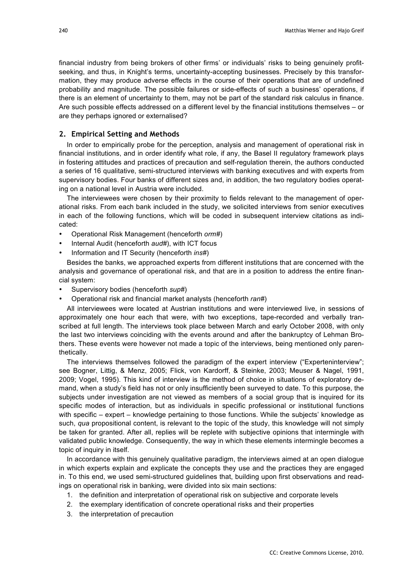financial industry from being brokers of other firms' or individuals' risks to being genuinely profitseeking, and thus, in Knight's terms, uncertainty-accepting businesses. Precisely by this transformation, they may produce adverse effects in the course of their operations that are of undefined probability and magnitude. The possible failures or side-effects of such a business' operations, if there is an element of uncertainty to them, may not be part of the standard risk calculus in finance. Are such possible effects addressed on a different level by the financial institutions themselves – or are they perhaps ignored or externalised?

# **2. Empirical Setting and Methods**

In order to empirically probe for the perception, analysis and management of operational risk in financial institutions, and in order identify what role, if any, the Basel II regulatory framework plays in fostering attitudes and practices of precaution and self-regulation therein, the authors conducted a series of 16 qualitative, semi-structured interviews with banking executives and with experts from supervisory bodies. Four banks of different sizes and, in addition, the two regulatory bodies operating on a national level in Austria were included.

The interviewees were chosen by their proximity to fields relevant to the management of operational risks. From each bank included in the study, we solicited interviews from senior executives in each of the following functions, which will be coded in subsequent interview citations as indicated:

- Operational Risk Management (henceforth *orm#*)
- Internal Audit (henceforth *aud#*), with ICT focus
- Information and IT Security (henceforth *ins#*)

Besides the banks, we approached experts from different institutions that are concerned with the analysis and governance of operational risk, and that are in a position to address the entire financial system:

- Supervisory bodies (henceforth *sup#*)
- Operational risk and financial market analysts (henceforth *ran#*)

All interviewees were located at Austrian institutions and were interviewed live, in sessions of approximately one hour each that were, with two exceptions, tape-recorded and verbally transcribed at full length. The interviews took place between March and early October 2008, with only the last two interviews coinciding with the events around and after the bankruptcy of Lehman Brothers. These events were however not made a topic of the interviews, being mentioned only parenthetically.

The interviews themselves followed the paradigm of the expert interview ("Experteninterview": see Bogner, Littig, & Menz, 2005; Flick, von Kardorff, & Steinke, 2003; Meuser & Nagel, 1991, 2009; Vogel, 1995). This kind of interview is the method of choice in situations of exploratory demand, when a study's field has not or only insufficiently been surveyed to date. To this purpose, the subjects under investigation are not viewed as members of a social group that is inquired for its specific modes of interaction, but as individuals in specific professional or institutional functions with specific – expert – knowledge pertaining to those functions. While the subjects' knowledge as such, *qua* propositional content, is relevant to the topic of the study, this knowledge will not simply be taken for granted. After all, replies will be replete with subjective opinions that intermingle with validated public knowledge. Consequently, the way in which these elements intermingle becomes a topic of inquiry in itself.

In accordance with this genuinely qualitative paradigm, the interviews aimed at an open dialogue in which experts explain and explicate the concepts they use and the practices they are engaged in. To this end, we used semi-structured guidelines that, building upon first observations and readings on operational risk in banking, were divided into six main sections:

- 1. the definition and interpretation of operational risk on subjective and corporate levels
- 2. the exemplary identification of concrete operational risks and their properties
- 3. the interpretation of precaution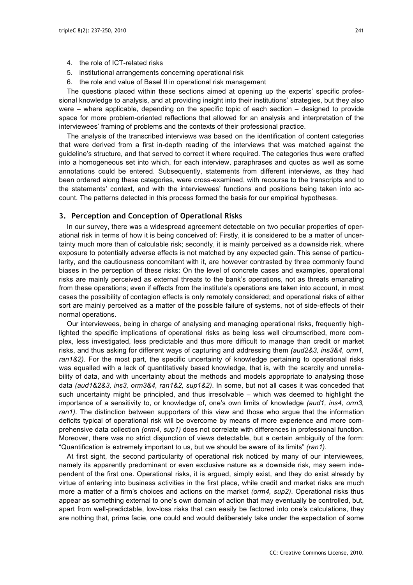- 4. the role of ICT-related risks
- 5. institutional arrangements concerning operational risk
- 6. the role and value of Basel II in operational risk management

The questions placed within these sections aimed at opening up the experts' specific professional knowledge to analysis, and at providing insight into their institutions' strategies, but they also were – where applicable, depending on the specific topic of each section – designed to provide space for more problem-oriented reflections that allowed for an analysis and interpretation of the interviewees' framing of problems and the contexts of their professional practice.

The analysis of the transcribed interviews was based on the identification of content categories that were derived from a first in-depth reading of the interviews that was matched against the guideline's structure, and that served to correct it where required. The categories thus were crafted into a homogeneous set into which, for each interview, paraphrases and quotes as well as some annotations could be entered. Subsequently, statements from different interviews, as they had been ordered along these categories, were cross-examined, with recourse to the transcripts and to the statements' context, and with the interviewees' functions and positions being taken into account. The patterns detected in this process formed the basis for our empirical hypotheses.

# **3. Perception and Conception of Operational Risks**

In our survey, there was a widespread agreement detectable on two peculiar properties of operational risk in terms of how it is being conceived of: Firstly, it is considered to be a matter of uncertainty much more than of calculable risk; secondly, it is mainly perceived as a downside risk, where exposure to potentially adverse effects is not matched by any expected gain. This sense of particularity, and the cautiousness concomitant with it, are however contrasted by three commonly found biases in the perception of these risks: On the level of concrete cases and examples, operational risks are mainly perceived as external threats to the bank's operations, not as threats emanating from these operations; even if effects from the institute's operations are taken into account, in most cases the possibility of contagion effects is only remotely considered; and operational risks of either sort are mainly perceived as a matter of the possible failure of systems, not of side-effects of their normal operations.

Our interviewees, being in charge of analysing and managing operational risks, frequently highlighted the specific implications of operational risks as being less well circumscribed, more complex, less investigated, less predictable and thus more difficult to manage than credit or market risks, and thus asking for different ways of capturing and addressing them *(aud2&3, ins3&4, orm1, ran1&2)*. For the most part, the specific uncertainty of knowledge pertaining to operational risks was equalled with a lack of quantitatively based knowledge, that is, with the scarcity and unreliability of data, and with uncertainty about the methods and models appropriate to analysing those data *(aud1&2&3, ins3, orm3&4, ran1&2, sup1&2)*. In some, but not all cases it was conceded that such uncertainty might be principled, and thus irresolvable – which was deemed to highlight the importance of a sensitivity to, or knowledge of, one's own limits of knowledge *(aud1, ins4, orm3, ran1)*. The distinction between supporters of this view and those who argue that the information deficits typical of operational risk will be overcome by means of more experience and more comprehensive data collection *(orm4, sup1)* does not correlate with differences in professional function. Moreover, there was no strict disjunction of views detectable, but a certain ambiguity of the form: "Quantification is extremely important to us, but we should be aware of its limits" *(ran1)*.

At first sight, the second particularity of operational risk noticed by many of our interviewees, namely its apparently predominant or even exclusive nature as a downside risk, may seem independent of the first one. Operational risks, it is argued, simply exist, and they do exist already by virtue of entering into business activities in the first place, while credit and market risks are much more a matter of a firm's choices and actions on the market *(orm4, sup2)*. Operational risks thus appear as something external to one's own domain of action that may eventually be controlled, but, apart from well-predictable, low-loss risks that can easily be factored into one's calculations, they are nothing that, prima facie, one could and would deliberately take under the expectation of some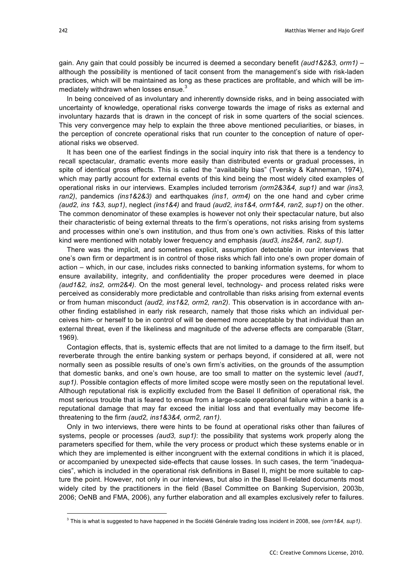gain. Any gain that could possibly be incurred is deemed a secondary benefit *(aud1&2&3, orm1)* – although the possibility is mentioned of tacit consent from the management's side with risk-laden practices, which will be maintained as long as these practices are profitable, and which will be immediately withdrawn when losses ensue.<sup>3</sup>

In being conceived of as involuntary and inherently downside risks, and in being associated with uncertainty of knowledge, operational risks converge towards the image of risks as external and involuntary hazards that is drawn in the concept of risk in some quarters of the social sciences. This very convergence may help to explain the three above mentioned peculiarities, or biases, in the perception of concrete operational risks that run counter to the conception of nature of operational risks we observed.

It has been one of the earliest findings in the social inquiry into risk that there is a tendency to recall spectacular, dramatic events more easily than distributed events or gradual processes, in spite of identical gross effects. This is called the "availability bias" (Tversky & Kahneman, 1974), which may partly account for external events of this kind being the most widely cited examples of operational risks in our interviews. Examples included terrorism *(orm2&3&4, sup1)* and war *(ins3, ran2)*, pandemics *(ins1&2&3)* and earthquakes *(ins1, orm4)* on the one hand and cyber crime *(aud2, ins 1&3, sup1)*, neglect *(ins1&4)* and fraud *(aud2, ins1&4, orm1&4, ran2, sup1)* on the other. The common denominator of these examples is however not only their spectacular nature, but also their characteristic of being external threats to the firm's operations, not risks arising from systems and processes within one's own institution, and thus from one's own activities. Risks of this latter kind were mentioned with notably lower frequency and emphasis *(aud3, ins2&4, ran2, sup1)*.

There was the implicit, and sometimes explicit, assumption detectable in our interviews that one's own firm or department is in control of those risks which fall into one's own proper domain of action – which, in our case, includes risks connected to banking information systems, for whom to ensure availability, integrity, and confidentiality the proper procedures were deemed in place *(aud1&2, ins2, orm2&4)*. On the most general level, technology- and process related risks were perceived as considerably more predictable and controllable than risks arising from external events or from human misconduct *(aud2, ins1&2, orm2, ran2)*. This observation is in accordance with another finding established in early risk research, namely that those risks which an individual perceives him- or herself to be in control of will be deemed more acceptable by that individual than an external threat, even if the likeliness and magnitude of the adverse effects are comparable (Starr, 1969).

Contagion effects, that is, systemic effects that are not limited to a damage to the firm itself, but reverberate through the entire banking system or perhaps beyond, if considered at all, were not normally seen as possible results of one's own firm's activities, on the grounds of the assumption that domestic banks, and one's own house, are too small to matter on the systemic level *(aud1, sup1)*. Possible contagion effects of more limited scope were mostly seen on the reputational level. Although reputational risk is explicitly excluded from the Basel II definition of operational risk, the most serious trouble that is feared to ensue from a large-scale operational failure within a bank is a reputational damage that may far exceed the initial loss and that eventually may become lifethreatening to the firm *(aud2, ins1&3&4, orm2, ran1)*.

Only in two interviews, there were hints to be found at operational risks other than failures of systems, people or processes *(aud3, sup1)*: the possibility that systems work properly along the parameters specified for them, while the very process or product which these systems enable or in which they are implemented is either incongruent with the external conditions in which it is placed, or accompanied by unexpected side-effects that cause losses. In such cases, the term "inadequacies", which is included in the operational risk definitions in Basel II, might be more suitable to capture the point. However, not only in our interviews, but also in the Basel II-related documents most widely cited by the practitioners in the field (Basel Committee on Banking Supervision, 2003b, 2006; OeNB and FMA, 2006), any further elaboration and all examples exclusively refer to failures.

<sup>-&</sup>lt;br>3 This is what is suggested to have happened in the Société Générale trading loss incident in 2008, see *(orm1&4, sup1)*.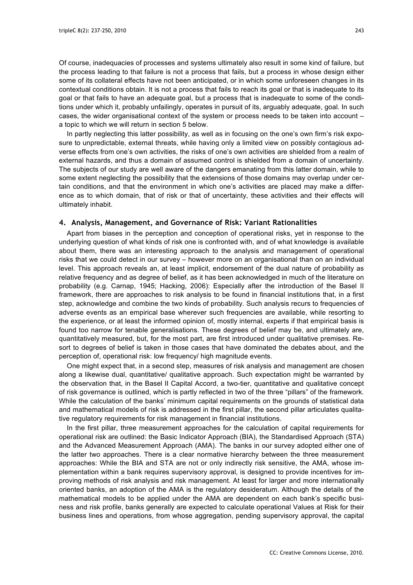Of course, inadequacies of processes and systems ultimately also result in some kind of failure, but the process leading to that failure is not a process that fails, but a process in whose design either some of its collateral effects have not been anticipated, or in which some unforeseen changes in its contextual conditions obtain. It is not a process that fails to reach its goal or that is inadequate to its goal or that fails to have an adequate goal, but a process that is inadequate to some of the conditions under which it, probably unfailingly, operates in pursuit of its, arguably adequate, goal. In such cases, the wider organisational context of the system or process needs to be taken into account – a topic to which we will return in section 5 below.

In partly neglecting this latter possibility, as well as in focusing on the one's own firm's risk exposure to unpredictable, external threats, while having only a limited view on possibly contagious adverse effects from one's own activities, the risks of one's own activities are shielded from a realm of external hazards, and thus a domain of assumed control is shielded from a domain of uncertainty. The subjects of our study are well aware of the dangers emanating from this latter domain, while to some extent neglecting the possibility that the extensions of those domains may overlap under certain conditions, and that the environment in which one's activities are placed may make a difference as to which domain, that of risk or that of uncertainty, these activities and their effects will ultimately inhabit.

# **4. Analysis, Management, and Governance of Risk: Variant Rationalities**

Apart from biases in the perception and conception of operational risks, yet in response to the underlying question of what kinds of risk one is confronted with, and of what knowledge is available about them, there was an interesting approach to the analysis and management of operational risks that we could detect in our survey – however more on an organisational than on an individual level. This approach reveals an, at least implicit, endorsement of the dual nature of probability as relative frequency and as degree of belief, as it has been acknowledged in much of the literature on probability (e.g. Carnap, 1945; Hacking, 2006): Especially after the introduction of the Basel II framework, there are approaches to risk analysis to be found in financial institutions that, in a first step, acknowledge and combine the two kinds of probability. Such analysis recurs to frequencies of adverse events as an empirical base wherever such frequencies are available, while resorting to the experience, or at least the informed opinion of, mostly internal, experts if that empirical basis is found too narrow for tenable generalisations. These degrees of belief may be, and ultimately are, quantitatively measured, but, for the most part, are first introduced under qualitative premises. Resort to degrees of belief is taken in those cases that have dominated the debates about, and the perception of, operational risk: low frequency/ high magnitude events.

One might expect that, in a second step, measures of risk analysis and management are chosen along a likewise dual, quantitative/ qualitative approach. Such expectation might be warranted by the observation that, in the Basel II Capital Accord, a two-tier, quantitative and qualitative concept of risk governance is outlined, which is partly reflected in two of the three "pillars" of the framework. While the calculation of the banks' minimum capital requirements on the grounds of statistical data and mathematical models of risk is addressed in the first pillar, the second pillar articulates qualitative regulatory requirements for risk management in financial institutions.

In the first pillar, three measurement approaches for the calculation of capital requirements for operational risk are outlined: the Basic Indicator Approach (BIA), the Standardised Approach (STA) and the Advanced Measurement Approach (AMA). The banks in our survey adopted either one of the latter two approaches. There is a clear normative hierarchy between the three measurement approaches: While the BIA and STA are not or only indirectly risk sensitive, the AMA, whose implementation within a bank requires supervisory approval, is designed to provide incentives for improving methods of risk analysis and risk management. At least for larger and more internationally oriented banks, an adoption of the AMA is the regulatory desideratum. Although the details of the mathematical models to be applied under the AMA are dependent on each bank's specific business and risk profile, banks generally are expected to calculate operational Values at Risk for their business lines and operations, from whose aggregation, pending supervisory approval, the capital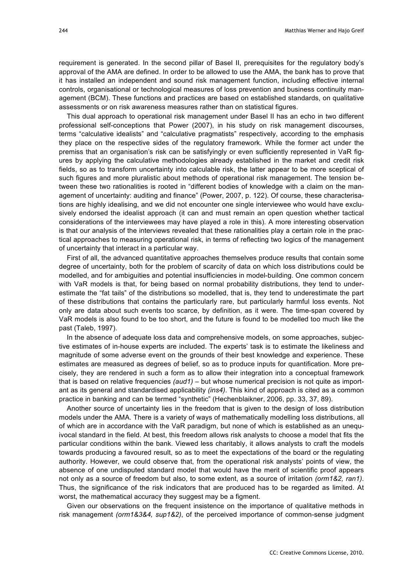requirement is generated. In the second pillar of Basel II, prerequisites for the regulatory body's approval of the AMA are defined. In order to be allowed to use the AMA, the bank has to prove that it has installed an independent and sound risk management function, including effective internal controls, organisational or technological measures of loss prevention and business continuity management (BCM). These functions and practices are based on established standards, on qualitative assessments or on risk awareness measures rather than on statistical figures.

This dual approach to operational risk management under Basel II has an echo in two different professional self-conceptions that Power (2007), in his study on risk management discourses, terms "calculative idealists" and "calculative pragmatists" respectively, according to the emphasis they place on the respective sides of the regulatory framework. While the former act under the premiss that an organisation's risk can be satisfyingly or even sufficiently represented in VaR figures by applying the calculative methodologies already established in the market and credit risk fields, so as to transform uncertainty into calculable risk, the latter appear to be more sceptical of such figures and more pluralistic about methods of operational risk management. The tension between these two rationalities is rooted in "different bodies of knowledge with a claim on the management of uncertainty: auditing and finance" (Power, 2007, p. 122). Of course, these characterisations are highly idealising, and we did not encounter one single interviewee who would have exclusively endorsed the idealist approach (it can and must remain an open question whether tactical considerations of the interviewees may have played a role in this). A more interesting observation is that our analysis of the interviews revealed that these rationalities play a certain role in the practical approaches to measuring operational risk, in terms of reflecting two logics of the management of uncertainty that interact in a particular way.

First of all, the advanced quantitative approaches themselves produce results that contain some degree of uncertainty, both for the problem of scarcity of data on which loss distributions could be modelled, and for ambiguities and potential insufficiencies in model-building. One common concern with VaR models is that, for being based on normal probability distributions, they tend to underestimate the "fat tails" of the distributions so modelled, that is, they tend to underestimate the part of these distributions that contains the particularly rare, but particularly harmful loss events. Not only are data about such events too scarce, by definition, as it were. The time-span covered by VaR models is also found to be too short, and the future is found to be modelled too much like the past (Taleb, 1997).

In the absence of adequate loss data and comprehensive models, on some approaches, subjective estimates of in-house experts are included. The experts' task is to estimate the likeliness and magnitude of some adverse event on the grounds of their best knowledge and experience. These estimates are measured as degrees of belief, so as to produce inputs for quantification. More precisely, they are rendered in such a form as to allow their integration into a conceptual framework that is based on relative frequencies *(aud1)* – but whose numerical precision is not quite as important as its general and standardised applicability *(ins4)*. This kind of approach is cited as a common practice in banking and can be termed "synthetic" (Hechenblaikner, 2006, pp. 33, 37, 89).

Another source of uncertainty lies in the freedom that is given to the design of loss distribution models under the AMA. There is a variety of ways of mathematically modelling loss distributions, all of which are in accordance with the VaR paradigm, but none of which is established as an unequivocal standard in the field. At best, this freedom allows risk analysts to choose a model that fits the particular conditions within the bank. Viewed less charitably, it allows analysts to craft the models towards producing a favoured result, so as to meet the expectations of the board or the regulating authority. However, we could observe that, from the operational risk analysts' points of view, the absence of one undisputed standard model that would have the merit of scientific proof appears not only as a source of freedom but also, to some extent, as a source of irritation *(orm1&2, ran1)*. Thus, the significance of the risk indicators that are produced has to be regarded as limited. At worst, the mathematical accuracy they suggest may be a figment.

Given our observations on the frequent insistence on the importance of qualitative methods in risk management *(orm1&3&4, sup1&2)*, of the perceived importance of common-sense judgment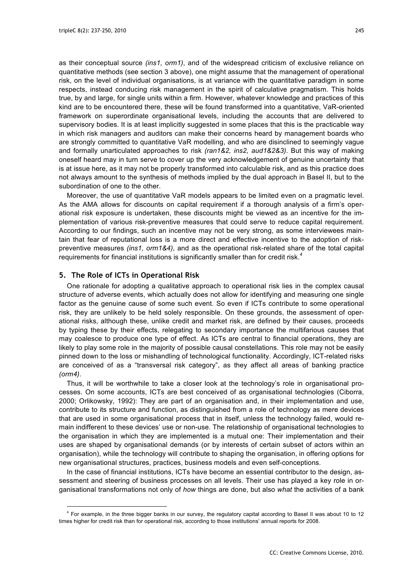as their conceptual source *(ins1, orm1)*, and of the widespread criticism of exclusive reliance on quantitative methods (see section 3 above), one might assume that the management of operational risk, on the level of individual organisations, is at variance with the quantitative paradigm in some respects, instead conducing risk management in the spirit of calculative pragmatism. This holds true, by and large, for single units within a firm. However, whatever knowledge and practices of this kind are to be encountered there, these will be found transformed into a quantitative, VaR-oriented framework on superordinate organisational levels, including the accounts that are delivered to supervisory bodies. It is at least implicitly suggested in some places that this is the practicable way in which risk managers and auditors can make their concerns heard by management boards who are strongly committed to quantitative VaR modelling, and who are disinclined to seemingly vague and formally unarticulated approaches to risk *(ran1&2, ins2, aud1&2&3)*. But this way of making oneself heard may in turn serve to cover up the very acknowledgement of genuine uncertainty that is at issue here, as it may not be properly transformed into calculable risk, and as this practice does not always amount to the synthesis of methods implied by the dual approach in Basel II, but to the subordination of one to the other.

Moreover, the use of quantitative VaR models appears to be limited even on a pragmatic level. As the AMA allows for discounts on capital requirement if a thorough analysis of a firm's operational risk exposure is undertaken, these discounts might be viewed as an incentive for the implementation of various risk-preventive measures that could serve to reduce capital requirement. According to our findings, such an incentive may not be very strong, as some interviewees maintain that fear of reputational loss is a more direct and effective incentive to the adoption of riskpreventive measures *(ins1, orm1&4)*, and as the operational risk-related share of the total capital requirements for financial institutions is significantly smaller than for credit risk.*<sup>4</sup>*

# **5. The Role of ICTs in Operational Risk**

One rationale for adopting a qualitative approach to operational risk lies in the complex causal structure of adverse events, which actually does not allow for identifying and measuring one single factor as the genuine cause of some such event. So even if ICTs contribute to some operational risk, they are unlikely to be held solely responsible. On these grounds, the assessment of operational risks, although these, unlike credit and market risk, are defined by their causes, proceeds by typing these by their effects, relegating to secondary importance the multifarious causes that may coalesce to produce one type of effect. As ICTs are central to financial operations, they are likely to play some role in the majority of possible causal constellations. This role may not be easily pinned down to the loss or mishandling of technological functionality. Accordingly, ICT-related risks are conceived of as a "transversal risk category", as they affect all areas of banking practice *(orm4)*.

Thus, it will be worthwhile to take a closer look at the technology's role in organisational processes. On some accounts, ICTs are best conceived of as organisational technologies (Ciborra, 2000; Orlikowsky, 1992): They are part of an organisation and, in their implementation and use, contribute to its structure and function, as distinguished from a role of technology as mere devices that are used in some organisational process that in itself, unless the technology failed, would remain indifferent to these devices' use or non-use. The relationship of organisational technologies to the organisation in which they are implemented is a mutual one: Their implementation and their uses are shaped by organisational demands (or by interests of certain subset of actors within an organisation), while the technology will contribute to shaping the organisation, in offering options for new organisational structures, practices, business models and even self-conceptions.

In the case of financial institutions, ICTs have become an essential contributor to the design, assessment and steering of business processes on all levels. Their use has played a key role in organisational transformations not only of *how* things are done, but also *what* the activities of a bank

 $\frac{1}{4}$  For example, in the three bigger banks in our survey, the regulatory capital according to Basel II was about 10 to 12 times higher for credit risk than for operational risk, according to those institutions' annual reports for 2008.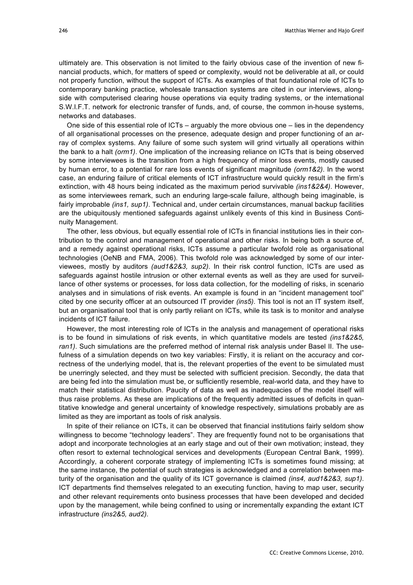ultimately are. This observation is not limited to the fairly obvious case of the invention of new financial products, which, for matters of speed or complexity, would not be deliverable at all, or could not properly function, without the support of ICTs. As examples of that foundational role of ICTs to contemporary banking practice, wholesale transaction systems are cited in our interviews, alongside with computerised clearing house operations via equity trading systems, or the international S.W.I.F.T. network for electronic transfer of funds, and, of course, the common in-house systems, networks and databases.

One side of this essential role of ICTs – arguably the more obvious one – lies in the dependency of all organisational processes on the presence, adequate design and proper functioning of an array of complex systems. Any failure of some such system will grind virtually all operations within the bank to a halt *(orm1)*. One implication of the increasing reliance on ICTs that is being observed by some interviewees is the transition from a high frequency of minor loss events, mostly caused by human error, to a potential for rare loss events of significant magnitude *(orm1&2)*. In the worst case, an enduring failure of critical elements of ICT infrastructure would quickly result in the firm's extinction, with 48 hours being indicated as the maximum period survivable *(ins1&2&4)*. However, as some interviewees remark, such an enduring large-scale failure, although being imaginable, is fairly improbable *(ins1, sup1)*. Technical and, under certain circumstances, manual backup facilities are the ubiquitously mentioned safeguards against unlikely events of this kind in Business Continuity Management.

The other, less obvious, but equally essential role of ICTs in financial institutions lies in their contribution to the control and management of operational and other risks. In being both a source of, and a remedy against operational risks, ICTs assume a particular twofold role as organisational technologies (OeNB and FMA, 2006). This twofold role was acknowledged by some of our interviewees, mostly by auditors *(aud1&2&3, sup2)*. In their risk control function, ICTs are used as safeguards against hostile intrusion or other external events as well as they are used for surveillance of other systems or processes, for loss data collection, for the modelling of risks, in scenario analyses and in simulations of risk events. An example is found in an "incident management tool" cited by one security officer at an outsourced IT provider *(ins5)*. This tool is not an IT system itself, but an organisational tool that is only partly reliant on ICTs, while its task is to monitor and analyse incidents of ICT failure.

However, the most interesting role of ICTs in the analysis and management of operational risks is to be found in simulations of risk events, in which quantitative models are tested *(ins1&2&5, ran1)*. Such simulations are the preferred method of internal risk analysis under Basel II. The usefulness of a simulation depends on two key variables: Firstly, it is reliant on the accuracy and correctness of the underlying model, that is, the relevant properties of the event to be simulated must be unerringly selected, and they must be selected with sufficient precision. Secondly, the data that are being fed into the simulation must be, or sufficiently resemble, real-world data, and they have to match their statistical distribution. Paucity of data as well as inadequacies of the model itself will thus raise problems. As these are implications of the frequently admitted issues of deficits in quantitative knowledge and general uncertainty of knowledge respectively, simulations probably are as limited as they are important as tools of risk analysis.

In spite of their reliance on ICTs, it can be observed that financial institutions fairly seldom show willingness to become "technology leaders". They are frequently found not to be organisations that adopt and incorporate technologies at an early stage and out of their own motivation; instead, they often resort to external technological services and developments (European Central Bank, 1999). Accordingly, a coherent corporate strategy of implementing ICTs is sometimes found missing; at the same instance, the potential of such strategies is acknowledged and a correlation between maturity of the organisation and the quality of its ICT governance is claimed *(ins4, aud1&2&3, sup1)*. ICT departments find themselves relegated to an executing function, having to map user, security and other relevant requirements onto business processes that have been developed and decided upon by the management, while being confined to using or incrementally expanding the extant ICT infrastructure *(ins2&5, aud2)*.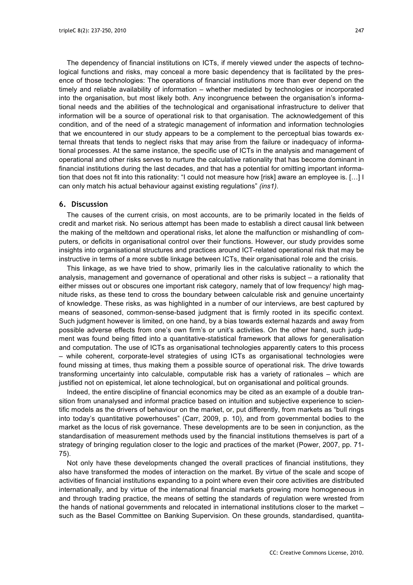The dependency of financial institutions on ICTs, if merely viewed under the aspects of technological functions and risks, may conceal a more basic dependency that is facilitated by the presence of those technologies: The operations of financial institutions more than ever depend on the timely and reliable availability of information – whether mediated by technologies or incorporated into the organisation, but most likely both. Any incongruence between the organisation's informational needs and the abilities of the technological and organisational infrastructure to deliver that information will be a source of operational risk to that organisation. The acknowledgement of this condition, and of the need of a strategic management of information and information technologies that we encountered in our study appears to be a complement to the perceptual bias towards external threats that tends to neglect risks that may arise from the failure or inadequacy of informational processes. At the same instance, the specific use of ICTs in the analysis and management of operational and other risks serves to nurture the calculative rationality that has become dominant in financial institutions during the last decades, and that has a potential for omitting important information that does not fit into this rationality: "I could not measure how [risk] aware an employee is. […] I can only match his actual behaviour against existing regulations" *(ins1)*.

# **6. Discussion**

The causes of the current crisis, on most accounts, are to be primarily located in the fields of credit and market risk. No serious attempt has been made to establish a direct causal link between the making of the meltdown and operational risks, let alone the malfunction or mishandling of computers, or deficits in organisational control over their functions. However, our study provides some insights into organisational structures and practices around ICT-related operational risk that may be instructive in terms of a more subtle linkage between ICTs, their organisational role and the crisis.

This linkage, as we have tried to show, primarily lies in the calculative rationality to which the analysis, management and governance of operational and other risks is subject – a rationality that either misses out or obscures one important risk category, namely that of low frequency/ high magnitude risks, as these tend to cross the boundary between calculable risk and genuine uncertainty of knowledge. These risks, as was highlighted in a number of our interviews, are best captured by means of seasoned, common-sense-based judgment that is firmly rooted in its specific context. Such judgment however is limited, on one hand, by a bias towards external hazards and away from possible adverse effects from one's own firm's or unit's activities. On the other hand, such judgment was found being fitted into a quantitative-statistical framework that allows for generalisation and computation. The use of ICTs as organisational technologies apparently caters to this process – while coherent, corporate-level strategies of using ICTs as organisational technologies were found missing at times, thus making them a possible source of operational risk. The drive towards transforming uncertainty into calculable, computable risk has a variety of rationales – which are justified not on epistemical, let alone technological, but on organisational and political grounds.

Indeed, the entire discipline of financial economics may be cited as an example of a double transition from unanalysed and informal practice based on intuition and subjective experience to scientific models as the drivers of behaviour on the market, or, put differently, from markets as "bull rings into today's quantitative powerhouses" (Carr, 2009, p. 10), and from governmental bodies to the market as the locus of risk governance. These developments are to be seen in conjunction, as the standardisation of measurement methods used by the financial institutions themselves is part of a strategy of bringing regulation closer to the logic and practices of the market (Power, 2007, pp. 71- 75).

Not only have these developments changed the overall practices of financial institutions, they also have transformed the modes of interaction on the market. By virtue of the scale and scope of activities of financial institutions expanding to a point where even their core activities are distributed internationally, and by virtue of the international financial markets growing more homogeneous in and through trading practice, the means of setting the standards of regulation were wrested from the hands of national governments and relocated in international institutions closer to the market – such as the Basel Committee on Banking Supervision. On these grounds, standardised, quantita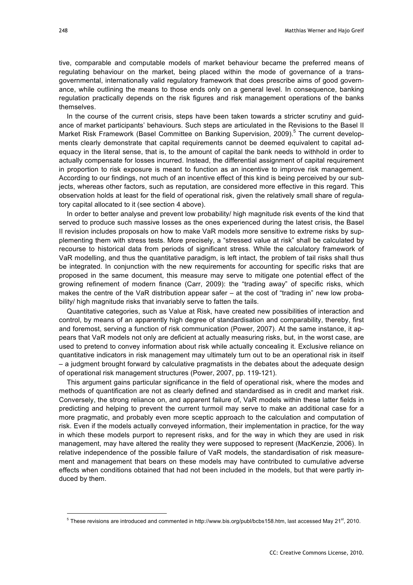tive, comparable and computable models of market behaviour became the preferred means of regulating behaviour on the market, being placed within the mode of governance of a transgovernmental, internationally valid regulatory framework that does prescribe aims of good governance, while outlining the means to those ends only on a general level. In consequence, banking regulation practically depends on the risk figures and risk management operations of the banks themselves.

In the course of the current crisis, steps have been taken towards a stricter scrutiny and guidance of market participants' behaviours. Such steps are articulated in the Revisions to the Basel II Market Risk Framework (Basel Committee on Banking Supervision, 2009).<sup>5</sup> The current developments clearly demonstrate that capital requirements cannot be deemed equivalent to capital adequacy in the literal sense, that is, to the amount of capital the bank needs to withhold in order to actually compensate for losses incurred. Instead, the differential assignment of capital requirement in proportion to risk exposure is meant to function as an incentive to improve risk management. According to our findings, not much of an incentive effect of this kind is being perceived by our subjects, whereas other factors, such as reputation, are considered more effective in this regard. This observation holds at least for the field of operational risk, given the relatively small share of regulatory capital allocated to it (see section 4 above).

In order to better analyse and prevent low probability/ high magnitude risk events of the kind that served to produce such massive losses as the ones experienced during the latest crisis, the Basel II revision includes proposals on how to make VaR models more sensitive to extreme risks by supplementing them with stress tests. More precisely, a "stressed value at risk" shall be calculated by recourse to historical data from periods of significant stress. While the calculatory framework of VaR modelling, and thus the quantitative paradigm, is left intact, the problem of tail risks shall thus be integrated. In conjunction with the new requirements for accounting for specific risks that are proposed in the same document, this measure may serve to mitigate one potential effect of the growing refinement of modern finance (Carr, 2009): the "trading away" of specific risks, which makes the centre of the VaR distribution appear safer – at the cost of "trading in" new low probability/ high magnitude risks that invariably serve to fatten the tails.

Quantitative categories, such as Value at Risk, have created new possibilities of interaction and control, by means of an apparently high degree of standardisation and comparability, thereby, first and foremost, serving a function of risk communication (Power, 2007). At the same instance, it appears that VaR models not only are deficient at actually measuring risks, but, in the worst case, are used to pretend to convey information about risk while actually concealing it. Exclusive reliance on quantitative indicators in risk management may ultimately turn out to be an operational risk in itself – a judgment brought forward by calculative pragmatists in the debates about the adequate design of operational risk management structures (Power, 2007, pp. 119-121).

This argument gains particular significance in the field of operational risk, where the modes and methods of quantification are not as clearly defined and standardised as in credit and market risk. Conversely, the strong reliance on, and apparent failure of, VaR models within these latter fields in predicting and helping to prevent the current turmoil may serve to make an additional case for a more pragmatic, and probably even more sceptic approach to the calculation and computation of risk. Even if the models actually conveyed information, their implementation in practice, for the way in which these models purport to represent risks, and for the way in which they are used in risk management, may have altered the reality they were supposed to represent (MacKenzie, 2006). In relative independence of the possible failure of VaR models, the standardisation of risk measurement and management that bears on these models may have contributed to cumulative adverse effects when conditions obtained that had not been included in the models, but that were partly induced by them.

<sup>-&</sup>lt;br>5  $5$  These revisions are introduced and commented in http://www.bis.org/publ/bcbs158.htm, last accessed May 21 $st$ , 2010.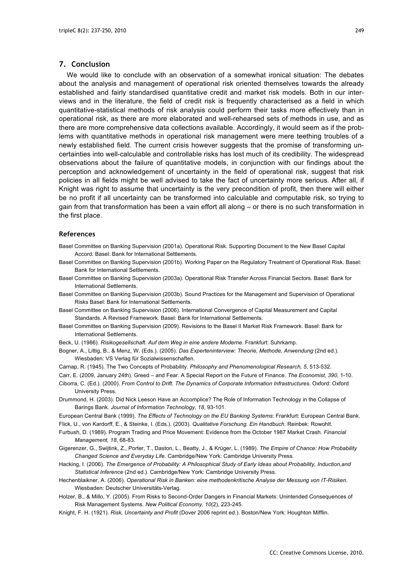### **7. Conclusion**

We would like to conclude with an observation of a somewhat ironical situation: The debates about the analysis and management of operational risk oriented themselves towards the already established and fairly standardised quantitative credit and market risk models. Both in our interviews and in the literature, the field of credit risk is frequently characterised as a field in which quantitative-statistical methods of risk analysis could perform their tasks more effectively than in operational risk, as there are more elaborated and well-rehearsed sets of methods in use, and as there are more comprehensive data collections available. Accordingly, it would seem as if the problems with quantitative methods in operational risk management were mere teething troubles of a newly established field. The current crisis however suggests that the promise of transforming uncertainties into well-calculable and controllable risks has lost much of its credibility. The widespread observations about the failure of quantitative models, in conjunction with our findings about the perception and acknowledgement of uncertainty in the field of operational risk, suggest that risk policies in all fields might be well advised to take the fact of uncertainty more serious. After all, if Knight was right to assume that uncertainty is the very precondition of profit, then there will either be no profit if all uncertainty can be transformed into calculable and computable risk, so trying to gain from that transformation has been a vain effort all along – or there is no such transformation in the first place.

#### **References**

- Basel Committee on Banking Supervision (2001a). Operational Risk. Supporting Document to the New Basel Capital Accord. Basel: Bank for International Settlements.
- Basel Committee on Banking Supervision (2001b). Working Paper on the Regulatory Treatment of Operational Risk. Basel: Bank for International Settlements.
- Basel Committee on Banking Supervision (2003a). Operational Risk Transfer Across Financial Sectors. Basel: Bank for International Settlements.
- Basel Committee on Banking Supervision (2003b). Sound Practices for the Management and Supervision of Operational Risks Basel: Bank for International Settlements.
- Basel Committee on Banking Supervision (2006). International Convergence of Capital Measurement and Capital Standards. A Revised Framework. Basel: Bank for International Settlements.
- Basel Committee on Banking Supervision (2009). Revisions to the Basel II Market Risk Framework. Basel: Bank for International Settlements.
- Beck, U. (1986). *Risikogesellschaft. Auf dem Weg in eine andere Moderne*. Frankfurt: Suhrkamp.
- Bogner, A., Littig, B., & Menz, W. (Eds.). (2005). *Das Experteninterview: Theorie, Methode, Anwendung* (2nd ed.). Wiesbaden: VS Verlag für Sozialwissenschaften.
- Carnap, R. (1945). The Two Concepts of Probability. *Philosophy and Phenomenological Research, 5*, 513-532.
- Carr, E. (2009, January 24th). Greed and Fear. A Special Report on the Future of Finance. *The Economist, 390,* 1-10.
- Ciborra, C. (Ed.). (2000). *From Control to Drift. The Dynamics of Corporate Information Infrastructures*. Oxford: Oxford University Press.
- Drummond, H. (2003). Did Nick Leeson Have an Accomplice? The Role of Information Technology in the Collapse of Barings Bank. *Journal of Information Technology, 18*, 93-101.
- European Central Bank (1999). *The Effects of Technology on the EU Banking Systems*: Frankfurt: European Central Bank. Flick, U., von Kardorff, E., & Steinke, I. (Eds.). (2003). *Qualitative Forschung. Ein Handbuch*. Reinbek: Rowohlt.
- Furbush, D. (1989). Program Trading and Price Movement: Evidence from the October 1987 Market Crash. *Financial Management, 18*, 68-83.
- Gigerenzer, G., Swijtink, Z., Porter, T., Daston, L., Beatty, J., & Krüger, L. (1989). *The Empire of Chance: How Probability Changed Science and Everyday Life*. Cambridge/New York: Cambridge University Press.
- Hacking, I. (2006). *The Emergence of Probability: A Philosophical Study of Early Ideas about Probability, Induction,and Statistical Inference* (2nd ed.). Cambridge/New York: Cambridge University Press.
- Hechenblaikner, A. (2006). *Operational Risk in Banken: eine methodenkritische Analyse der Messung von IT-Risiken*. Wiesbaden: Deutscher Universitäts-Verlag.
- Holzer, B., & Millo, Y. (2005). From Risks to Second-Order Dangers in Financial Markets: Unintended Consequences of Risk Management Systems. *New Political Economy, 10*(2), 223-245.
- Knight, F. H. (1921). *Risk, Uncertainty and Profit* (Dover 2006 reprint ed.). Boston/New York: Houghton Mifflin.